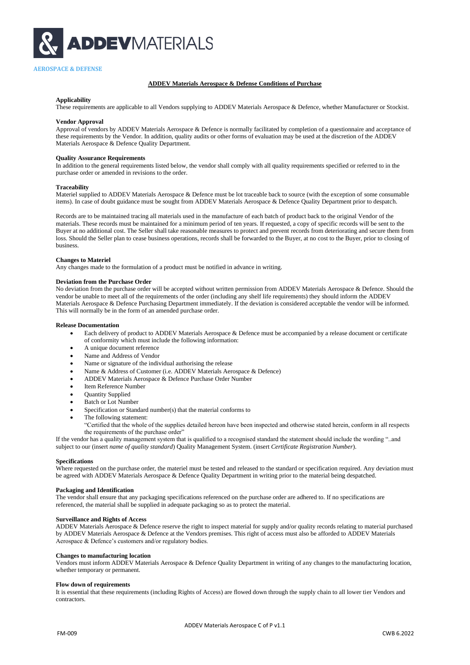

# **ADDEV Materials Aerospace & Defense Conditions of Purchase**

## **Applicability**

These requirements are applicable to all Vendors supplying to ADDEV Materials Aerospace & Defence, whether Manufacturer or Stockist.

### **Vendor Approval**

Approval of vendors by ADDEV Materials Aerospace & Defence is normally facilitated by completion of a questionnaire and acceptance of these requirements by the Vendor. In addition, quality audits or other forms of evaluation may be used at the discretion of the ADDEV Materials Aerospace & Defence Quality Department.

### **Quality Assurance Requirements**

In addition to the general requirements listed below, the vendor shall comply with all quality requirements specified or referred to in the purchase order or amended in revisions to the order.

#### **Traceability**

Materiel supplied to ADDEV Materials Aerospace & Defence must be lot traceable back to source (with the exception of some consumable items). In case of doubt guidance must be sought from ADDEV Materials Aerospace & Defence Quality Department prior to despatch.

Records are to be maintained tracing all materials used in the manufacture of each batch of product back to the original Vendor of the materials. These records must be maintained for a minimum period of ten years. If requested, a copy of specific records will be sent to the Buyer at no additional cost. The Seller shall take reasonable measures to protect and prevent records from deteriorating and secure them from loss. Should the Seller plan to cease business operations, records shall be forwarded to the Buyer, at no cost to the Buyer, prior to closing of business.

# **Changes to Materiel**

Any changes made to the formulation of a product must be notified in advance in writing.

# **Deviation from the Purchase Order**

No deviation from the purchase order will be accepted without written permission from ADDEV Materials Aerospace & Defence. Should the vendor be unable to meet all of the requirements of the order (including any shelf life requirements) they should inform the ADDEV Materials Aerospace & Defence Purchasing Department immediately. If the deviation is considered acceptable the vendor will be informed. This will normally be in the form of an amended purchase order.

#### **Release Documentation**

- Each delivery of product to ADDEV Materials Aerospace & Defence must be accompanied by a release document or certificate of conformity which must include the following information:
- A unique document reference
- Name and Address of Vendor
- Name or signature of the individual authorising the release
- Name & Address of Customer (i.e. ADDEV Materials Aerospace & Defence)
- ADDEV Materials Aerospace & Defence Purchase Order Number
- Item Reference Number
- Quantity Supplied
- Batch or Lot Number
- Specification or Standard number(s) that the material conforms to
- The following statement:

"Certified that the whole of the supplies detailed hereon have been inspected and otherwise stated herein, conform in all respects the requirements of the purchase order"

If the vendor has a quality management system that is qualified to a recognised standard the statement should include the wording "..and subject to our (insert *name of quality standard*) Quality Management System. (insert *Certificate Registration Number*).

#### **Specifications**

Where requested on the purchase order, the materiel must be tested and released to the standard or specification required. Any deviation must be agreed with ADDEV Materials Aerospace & Defence Quality Department in writing prior to the material being despatched.

### **Packaging and Identification**

The vendor shall ensure that any packaging specifications referenced on the purchase order are adhered to. If no specifications are referenced, the material shall be supplied in adequate packaging so as to protect the material.

## **Surveillance and Rights of Access**

ADDEV Materials Aerospace & Defence reserve the right to inspect material for supply and/or quality records relating to material purchased by ADDEV Materials Aerospace & Defence at the Vendors premises. This right of access must also be afforded to ADDEV Materials Aerospace & Defence's customers and/or regulatory bodies.

# **Changes to manufacturing location**

Vendors must inform ADDEV Materials Aerospace & Defence Quality Department in writing of any changes to the manufacturing location, whether temporary or permanent.

### **Flow down of requirements**

It is essential that these requirements (including Rights of Access) are flowed down through the supply chain to all lower tier Vendors and contractors.